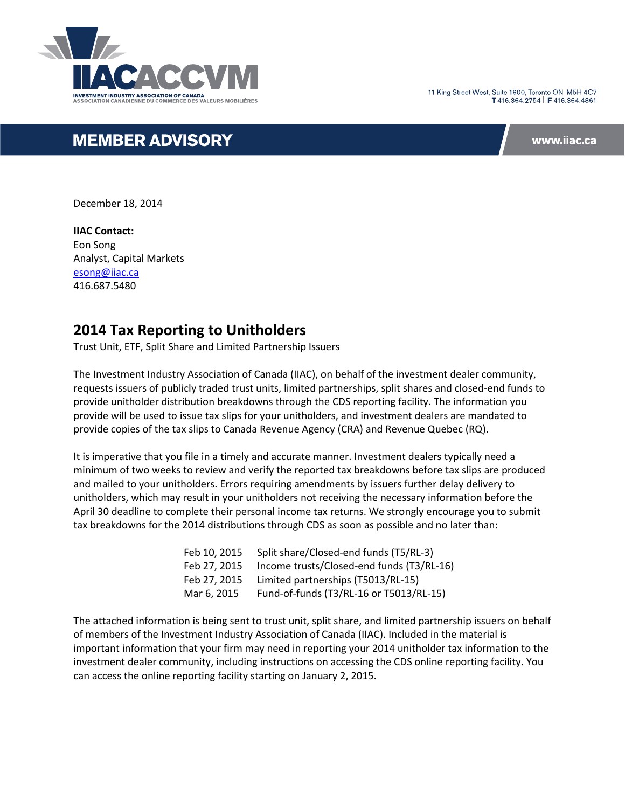

11 King Street West, Suite 1600, Toronto ON M5H 4C7 T416 364 2754 | F416 364 4861

# **MEMBER ADVISORY**

www.iiac.ca

December 18, 2014

**IIAC Contact:** Eon Song Analyst, Capital Markets [esong@iiac.ca](mailto:esong@iiac.ca) 416.687.5480

# **2014 Tax Reporting to Unitholders**

Trust Unit, ETF, Split Share and Limited Partnership Issuers

The Investment Industry Association of Canada (IIAC), on behalf of the investment dealer community, requests issuers of publicly traded trust units, limited partnerships, split shares and closed-end funds to provide unitholder distribution breakdowns through the CDS reporting facility. The information you provide will be used to issue tax slips for your unitholders, and investment dealers are mandated to provide copies of the tax slips to Canada Revenue Agency (CRA) and Revenue Quebec (RQ).

It is imperative that you file in a timely and accurate manner. Investment dealers typically need a minimum of two weeks to review and verify the reported tax breakdowns before tax slips are produced and mailed to your unitholders. Errors requiring amendments by issuers further delay delivery to unitholders, which may result in your unitholders not receiving the necessary information before the April 30 deadline to complete their personal income tax returns. We strongly encourage you to submit tax breakdowns for the 2014 distributions through CDS as soon as possible and no later than:

| Feb 10, 2015 | Split share/Closed-end funds (T5/RL-3)    |
|--------------|-------------------------------------------|
| Feb 27, 2015 | Income trusts/Closed-end funds (T3/RL-16) |
| Feb 27, 2015 | Limited partnerships (T5013/RL-15)        |
| Mar 6, 2015  | Fund-of-funds (T3/RL-16 or T5013/RL-15)   |

The attached information is being sent to trust unit, split share, and limited partnership issuers on behalf of members of the Investment Industry Association of Canada (IIAC). Included in the material is important information that your firm may need in reporting your 2014 unitholder tax information to the investment dealer community, including instructions on accessing the CDS online reporting facility. You can access the online reporting facility starting on January 2, 2015.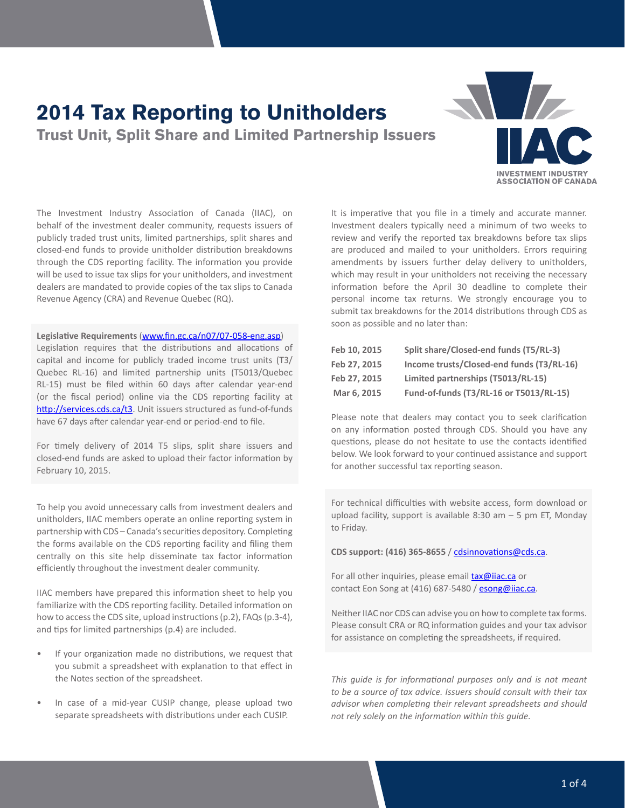# **2014 Tax Reporting to Unitholders**

**Trust Unit, Split Share and Limited Partnership Issuers**



The Investment Industry Association of Canada (IIAC), on behalf of the investment dealer community, requests issuers of publicly traded trust units, limited partnerships, split shares and closed-end funds to provide unitholder distribution breakdowns through the CDS reporting facility. The information you provide will be used to issue tax slips for your unitholders, and investment dealers are mandated to provide copies of the tax slips to Canada Revenue Agency (CRA) and Revenue Quebec (RQ).

#### **Legislative Requirements** [\(www.fin.gc.ca/n07/07-058-eng.asp](http://www.fin.gc.ca/n07/07-058-eng.asp))

Legislation requires that the distributions and allocations of capital and income for publicly traded income trust units (T3/ Quebec RL-16) and limited partnership units (T5013/Quebec RL-15) must be filed within 60 days after calendar year-end (or the fiscal period) online via the CDS reporting facility at http://services.cds.ca/t3. Unit issuers structured as fund-of-funds have 67 days after calendar year-end or period-end to file.

For timely delivery of 2014 T5 slips, split share issuers and closed-end funds are asked to upload their factor information by February 10, 2015.

To help you avoid unnecessary calls from investment dealers and unitholders, IIAC members operate an online reporting system in partnership with CDS – Canada's securities depository. Completing the forms available on the CDS reporting facility and filing them centrally on this site help disseminate tax factor information efficiently throughout the investment dealer community.

IIAC members have prepared this information sheet to help you familiarize with the CDS reporting facility. Detailed information on how to access the CDS site, upload instructions (p.2), FAQs (p.3-4), and tips for limited partnerships (p.4) are included.

- If your organization made no distributions, we request that you submit a spreadsheet with explanation to that effect in the Notes section of the spreadsheet.
- In case of a mid-year CUSIP change, please upload two separate spreadsheets with distributions under each CUSIP.

It is imperative that you file in a timely and accurate manner. Investment dealers typically need a minimum of two weeks to review and verify the reported tax breakdowns before tax slips are produced and mailed to your unitholders. Errors requiring amendments by issuers further delay delivery to unitholders, which may result in your unitholders not receiving the necessary information before the April 30 deadline to complete their personal income tax returns. We strongly encourage you to submit tax breakdowns for the 2014 distributions through CDS as soon as possible and no later than:

| Feb 10, 2015 | Split share/Closed-end funds (T5/RL-3)    |
|--------------|-------------------------------------------|
| Feb 27.2015  | Income trusts/Closed-end funds (T3/RL-16) |
| Feb 27.2015  | Limited partnerships (T5013/RL-15)        |
| Mar 6, 2015  | Fund-of-funds (T3/RL-16 or T5013/RL-15)   |

Please note that dealers may contact you to seek clarification on any information posted through CDS. Should you have any questions, please do not hesitate to use the contacts identified below. We look forward to your continued assistance and support for another successful tax reporting season.

For technical difficulties with website access, form download or upload facility, support is available 8:30 am  $-$  5 pm ET, Monday to Friday.

**CDS support: (416) 365-8655** / [cdsinnovations@cds.ca](mailto:cdsinnovations@cds.ca).

For all other inquiries, please email **[tax@iiac.ca](mailto:tax@iiac.ca)** or contact Eon Song at (416) 687-5480 / [esong@iiac.ca.](mailto:esong@iiac.ca)

Neither IIAC nor CDS can advise you on how to complete tax forms. Please consult CRA or RQ information guides and your tax advisor for assistance on completing the spreadsheets, if required.

*This guide is for informational purposes only and is not meant to be a source of tax advice. Issuers should consult with their tax advisor when completing their relevant spreadsheets and should not rely solely on the information within this guide.*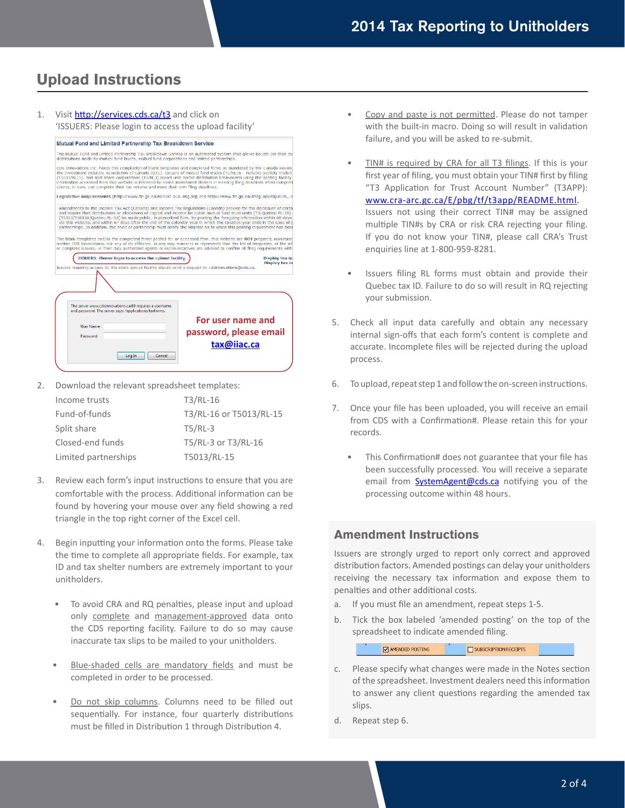# **Upload Instructions**



2. Download the relevant spreadsheet templates:

| Income trusts        | T3/RL-16                |
|----------------------|-------------------------|
| Fund-of-funds        | T3/RL-16 or T5013/RL-15 |
| Split share          | $T5/RL-3$               |
| Closed-end funds     | T5/RL-3 or T3/RL-16     |
| Limited partnerships | T5013/RL-15             |

- 3. Review each form's input instructions to ensure that you are comfortable with the process. Additional information can be found by hovering your mouse over any field showing a red triangle in the top right corner of the Excel cell.
- 4. Begin inputting your information onto the forms. Please take the time to complete all appropriate fields. For example, tax ID and tax shelter numbers are extremely important to your unitholders.
	- To avoid CRA and RQ penalties, please input and upload only complete and management-approved data onto the CDS reporting facility. Failure to do so may cause inaccurate tax slips to be mailed to your unitholders.
	- Blue-shaded cells are mandatory fields and must be completed in order to be processed.
	- Do not skip columns. Columns need to be filled out sequentially. For instance, four quarterly distributions must be filled in Distribution 1 through Distribution 4.
- Copy and paste is not permitted. Please do not tamper with the built-in macro. Doing so will result in validation failure, and you will be asked to re-submit.
- TIN# is required by CRA for all T3 filings. If this is your first year of filing, you must obtain your TIN# first by filing "T3 Application for Trust Account Number" (T3APP): [www.cra-arc.gc.ca/E/pbg/tf/t3app/README.html](http://www.cra-arc.gc.ca/E/pbg/tf/t3app/README.html). Issuers not using their correct TIN# may be assigned multiple TIN#s by CRA or risk CRA rejecting your filing. If you do not know your TIN#, please call CRA's Trust enquiries line at 1-800-959-8281.
- Issuers filing RL forms must obtain and provide their Quebec tax ID. Failure to do so will result in RQ rejecting your submission.
- 5. Check all input data carefully and obtain any necessary internal sign-offs that each form's content is complete and accurate. Incomplete files will be rejected during the upload process.
- 6. To upload, repeat step 1 and follow the on-screen instructions.
- 7. Once your file has been uploaded, you will receive an email from CDS with a Confirmation#. Please retain this for your records.
	- This Confirmation# does not guarantee that your file has been successfully processed. You will receive a separate email from **[SystemAgent@cds.ca](mailto:SystemAgent@cds.ca)** notifying you of the processing outcome within 48 hours.

### **Amendment Instructions**

Issuers are strongly urged to report only correct and approved distribution factors. Amended postings can delay your unitholders receiving the necessary tax information and expose them to penalties and other additional costs.

- a. If you must file an amendment, repeat steps 1-5.
- b. Tick the box labeled 'amended posting' on the top of the spreadsheet to indicate amended filing.

SUBSCRIPTION RECEIPTS MAMENDED POSTING

- c. Please specify what changes were made in the Notes section of the spreadsheet. Investment dealers need this information to answer any client questions regarding the amended tax slips.
- d. Repeat step 6.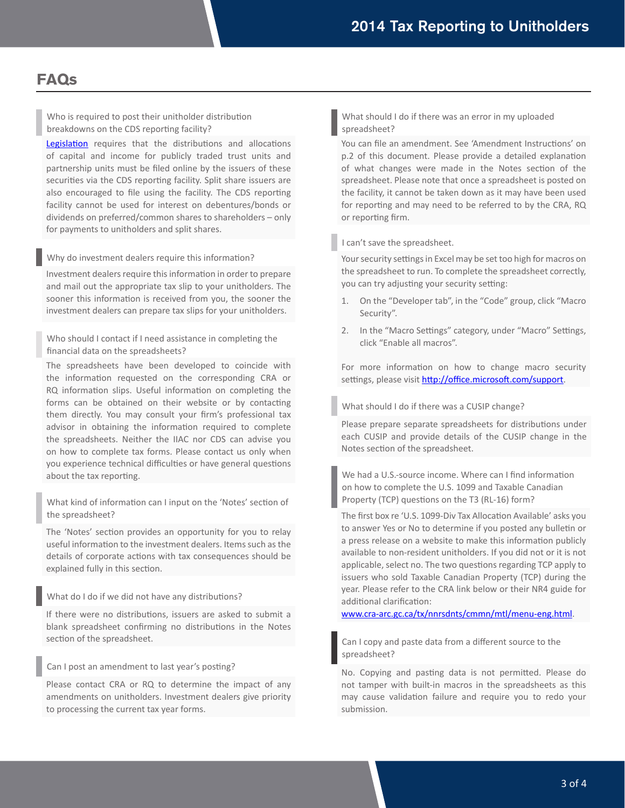# **FAQs**

Who is required to post their unitholder distribution breakdowns on the CDS reporting facility?

[Legislation](http://www.fin.gc.ca/n07/07-058-eng.asp) requires that the distributions and allocations of capital and income for publicly traded trust units and partnership units must be filed online by the issuers of these securities via the CDS reporting facility. Split share issuers are also encouraged to file using the facility. The CDS reporting facility cannot be used for interest on debentures/bonds or dividends on preferred/common shares to shareholders – only for payments to unitholders and split shares.

Why do investment dealers require this information?

Investment dealers require this information in order to prepare and mail out the appropriate tax slip to your unitholders. The sooner this information is received from you, the sooner the investment dealers can prepare tax slips for your unitholders.

Who should I contact if I need assistance in completing the financial data on the spreadsheets?

The spreadsheets have been developed to coincide with the information requested on the corresponding CRA or RQ information slips. Useful information on completing the forms can be obtained on their website or by contacting them directly. You may consult your firm's professional tax advisor in obtaining the information required to complete the spreadsheets. Neither the IIAC nor CDS can advise you on how to complete tax forms. Please contact us only when you experience technical difficulties or have general questions about the tax reporting.

What kind of information can I input on the 'Notes' section of the spreadsheet?

The 'Notes' section provides an opportunity for you to relay useful information to the investment dealers. Items such as the details of corporate actions with tax consequences should be explained fully in this section.

What do I do if we did not have any distributions?

If there were no distributions, issuers are asked to submit a blank spreadsheet confirming no distributions in the Notes section of the spreadsheet.

Can I post an amendment to last year's posting?

Please contact CRA or RQ to determine the impact of any amendments on unitholders. Investment dealers give priority to processing the current tax year forms.

What should I do if there was an error in my uploaded spreadsheet?

You can file an amendment. See 'Amendment Instructions' on p.2 of this document. Please provide a detailed explanation of what changes were made in the Notes section of the spreadsheet. Please note that once a spreadsheet is posted on the facility, it cannot be taken down as it may have been used for reporting and may need to be referred to by the CRA, RQ or reporting firm.

I can't save the spreadsheet.

Your security settings in Excel may be set too high for macros on the spreadsheet to run. To complete the spreadsheet correctly, you can try adjusting your security setting:

- 1. On the "Developer tab", in the "Code" group, click "Macro Security".
- 2. In the "Macro Settings" category, under "Macro" Settings, click "Enable all macros".

For more information on how to change macro security settings, please visit <http://office.microsoft.com/support>.

What should I do if there was a CUSIP change?

Please prepare separate spreadsheets for distributions under each CUSIP and provide details of the CUSIP change in the Notes section of the spreadsheet.

We had a U.S.-source income. Where can I find information on how to complete the U.S. 1099 and Taxable Canadian Property (TCP) questions on the T3 (RL-16) form?

The first box re 'U.S. 1099-Div Tax Allocation Available' asks you to answer Yes or No to determine if you posted any bulletin or a press release on a website to make this information publicly available to non-resident unitholders. If you did not or it is not applicable, select no. The two questions regarding TCP apply to issuers who sold Taxable Canadian Property (TCP) during the year. Please refer to the CRA link below or their NR4 guide for additional clarification:

[www.cra-arc.gc.ca/tx/nnrsdnts/cmmn/mtl/menu-eng.html.](http://www.cra-arc.gc.ca/tx/nnrsdnts/cmmn/mtl/menu-eng.html)

Can I copy and paste data from a different source to the spreadsheet?

No. Copying and pasting data is not permitted. Please do not tamper with built-in macros in the spreadsheets as this may cause validation failure and require you to redo your submission.